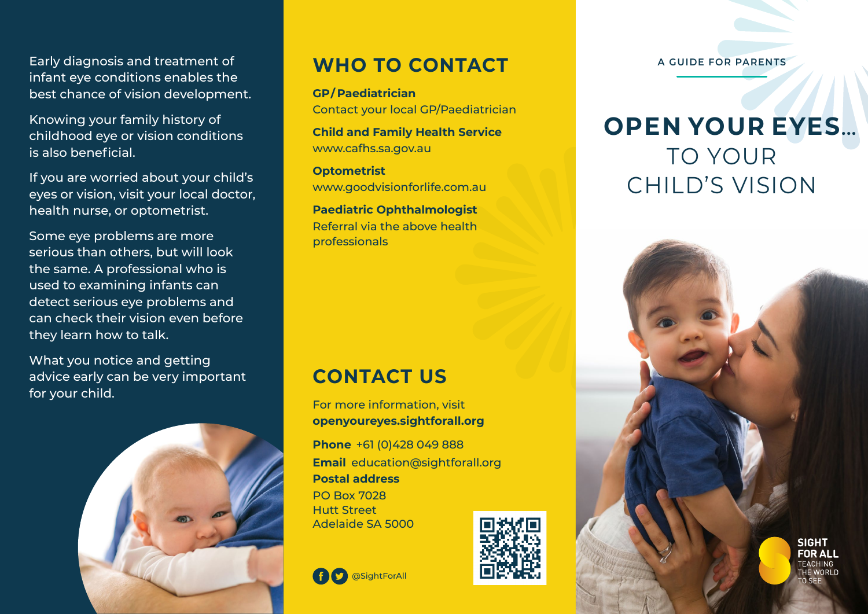Early diagnosis and treatment of infant eye conditions enables the best chance of vision development.

Knowing your family history of childhood eye or vision conditions is also beneficial.

If you are worried about your child's eyes or vision, visit your local doctor, health nurse, or optometrist.

Some eye problems are more serious than others, but will look the same. A professional who is used to examining infants can detect serious eye problems and can check their vision even before they learn how to talk.

What you notice and getting advice early can be very important for your child.



### **WHO TO CONTACT**

**GP/ Paediatrician** Contact your local GP/Paediatrician

**Child and Family Health Service** www.cafhs.sa.gov.au

**Optometrist** www.goodvisionforlife.com.au

**Paediatric Ophthalmologist** Referral via the above health professionals

### **CONTACT US**

**S** @SightForAll

For more information, visit **openyoureyes.sightforall.org**

**Phone** +61 (0)428 049 888 **Email** education@sightforall.org **Postal address**  PO Box 7028 Hutt Street Adelaide SA 5000



**A GUIDE FOR PARENTS**

# **OPEN YOUR EYES...** TO YOUR CHILD'S VISION